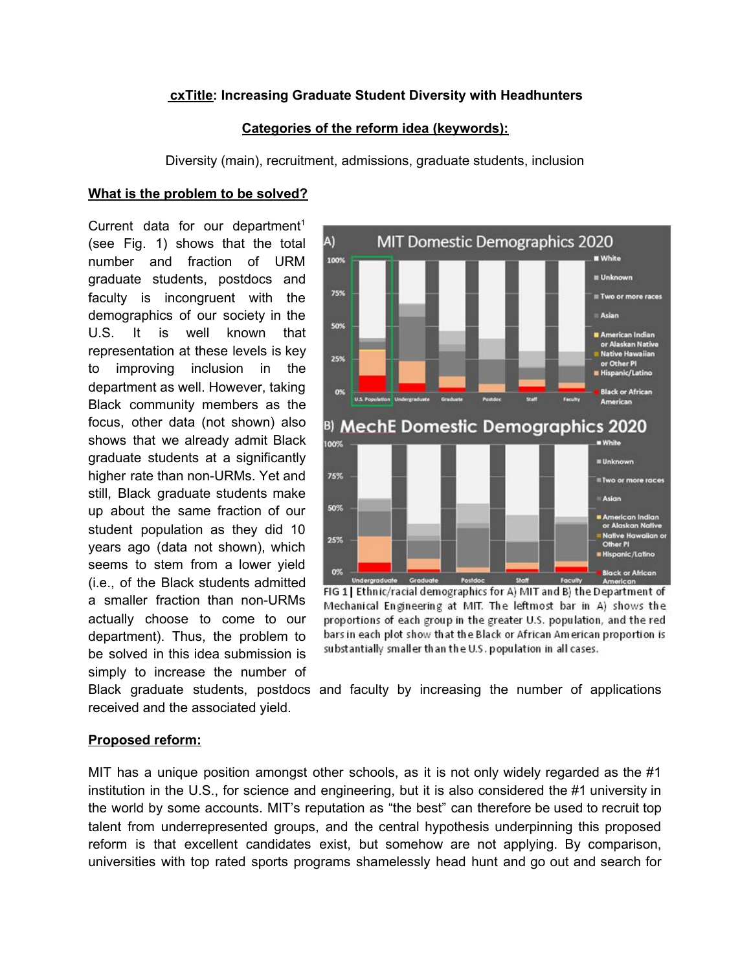## **cxTitle: Increasing Graduate Student Diversity with Headhunters**

## **Categories of the reform idea (keywords):**

Diversity (main), recruitment, admissions, graduate students, inclusion

## **What is the problem to be solved?**

Current data for our department<sup>1</sup> (see Fig. 1) shows that the total number and fraction of URM graduate students, postdocs and faculty is incongruent with the demographics of our society in the U.S. It is well known that representation at these levels is key to improving inclusion in the department as well. However, taking Black community members as the focus, other data (not shown) also shows that we already admit Black graduate students at a significantly higher rate than non-URMs. Yet and still, Black graduate students make up about the same fraction of our student population as they did 10 years ago (data not shown), which seems to stem from a lower yield (i.e., of the Black students admitted a smaller fraction than non-URMs actually choose to come to our department). Thus, the problem to be solved in this idea submission is simply to increase the number of



FIG 1 Ethnic/racial demographics for A) MIT and B) the Department of Mechanical Engineering at MIT. The leftmost bar in A) shows the proportions of each group in the greater U.S. population, and the red bars in each plot show that the Black or African American proportion is substantially smaller than the U.S. population in all cases.

Black graduate students, postdocs and faculty by increasing the number of applications received and the associated yield.

#### **Proposed reform:**

MIT has a unique position amongst other schools, as it is not only widely regarded as the #1 institution in the U.S., for science and engineering, but it is also considered the #1 university in the world by some accounts. MIT's reputation as "the best" can therefore be used to recruit top talent from underrepresented groups, and the central hypothesis underpinning this proposed reform is that excellent candidates exist, but somehow are not applying. By comparison, universities with top rated sports programs shamelessly head hunt and go out and search for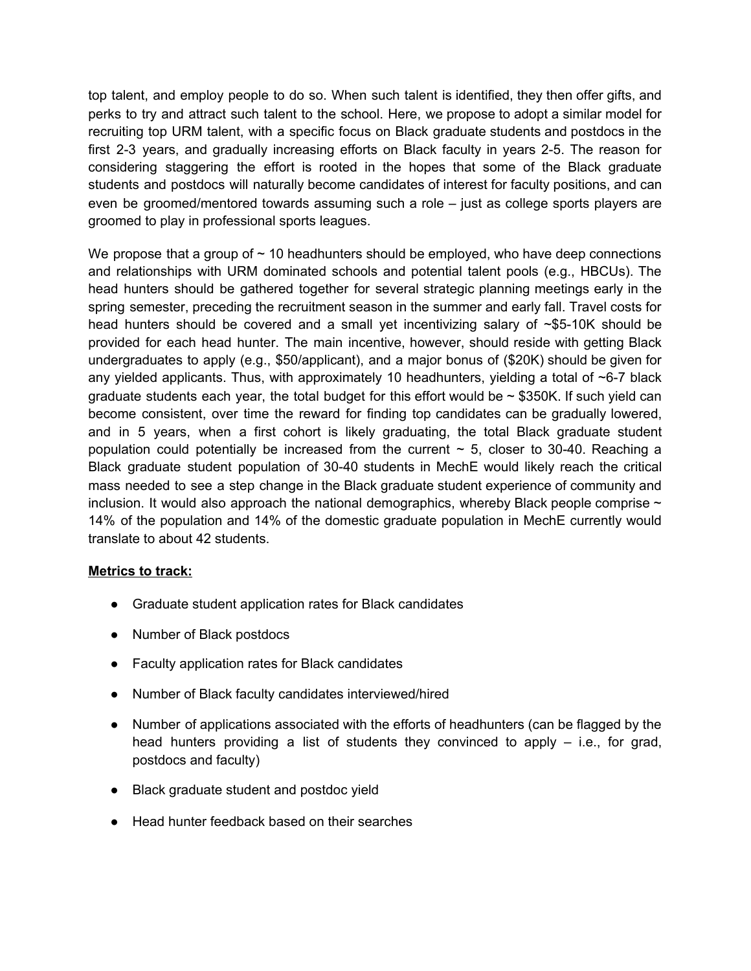top talent, and employ people to do so. When such talent is identified, they then offer gifts, and perks to try and attract such talent to the school. Here, we propose to adopt a similar model for recruiting top URM talent, with a specific focus on Black graduate students and postdocs in the first 2-3 years, and gradually increasing efforts on Black faculty in years 2-5. The reason for considering staggering the effort is rooted in the hopes that some of the Black graduate students and postdocs will naturally become candidates of interest for faculty positions, and can even be groomed/mentored towards assuming such a role – just as college sports players are groomed to play in professional sports leagues.

We propose that a group of  $\sim$  10 headhunters should be employed, who have deep connections and relationships with URM dominated schools and potential talent pools (e.g., HBCUs). The head hunters should be gathered together for several strategic planning meetings early in the spring semester, preceding the recruitment season in the summer and early fall. Travel costs for head hunters should be covered and a small yet incentivizing salary of ~\$5-10K should be provided for each head hunter. The main incentive, however, should reside with getting Black undergraduates to apply (e.g., \$50/applicant), and a major bonus of (\$20K) should be given for any yielded applicants. Thus, with approximately 10 headhunters, yielding a total of  $\sim$ 6-7 black graduate students each year, the total budget for this effort would be  $\sim$  \$350K. If such yield can become consistent, over time the reward for finding top candidates can be gradually lowered, and in 5 years, when a first cohort is likely graduating, the total Black graduate student population could potentially be increased from the current  $\sim$  5, closer to 30-40. Reaching a Black graduate student population of 30-40 students in MechE would likely reach the critical mass needed to see a step change in the Black graduate student experience of community and inclusion. It would also approach the national demographics, whereby Black people comprise  $\sim$ 14% of the population and 14% of the domestic graduate population in MechE currently would translate to about 42 students.

# **Metrics to track:**

- Graduate student application rates for Black candidates
- Number of Black postdocs
- Faculty application rates for Black candidates
- Number of Black faculty candidates interviewed/hired
- Number of applications associated with the efforts of headhunters (can be flagged by the head hunters providing a list of students they convinced to apply – i.e., for grad, postdocs and faculty)
- Black graduate student and postdoc yield
- Head hunter feedback based on their searches